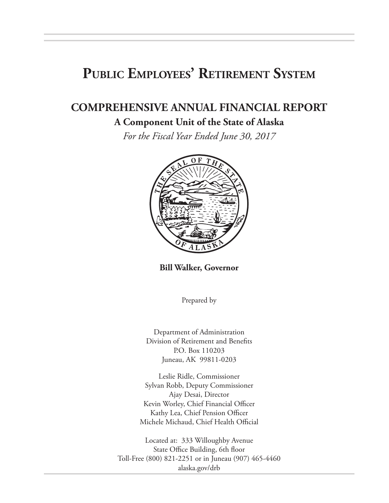# **Public Employees' Retirement System**

# **COMPREHENSIVE ANNUAL FINANCIAL REPORT**

### **A Component Unit of the State of Alaska**

*For the Fiscal Year Ended June 30, 2017*



**Bill Walker, Governor**

Prepared by

Department of Administration Division of Retirement and Benefits P.O. Box 110203 Juneau, AK 99811-0203

Leslie Ridle, Commissioner Sylvan Robb, Deputy Commissioner Ajay Desai, Director Kevin Worley, Chief Financial Officer Kathy Lea, Chief Pension Officer Michele Michaud, Chief Health Official

Located at: 333 Willoughby Avenue State Office Building, 6th floor Toll-Free (800) 821-2251 or in Juneau (907) 465-4460 alaska.gov/drb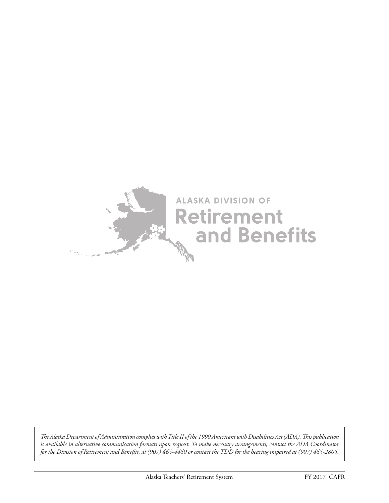

*The Alaska Department of Administration complies with Title II of the 1990 Americans with Disabilities Act (ADA). This publication is available in alternative communication formats upon request. To make necessary arrangements, contact the ADA Coordinator for the Division of Retirement and Benefits, at (907) 465-4460 or contact the TDD for the hearing impaired at (907) 465-2805.*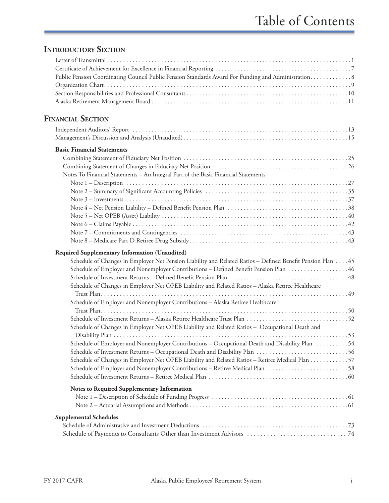## **INTRODUCTORY SECTION**

| Public Pension Coordinating Council Public Pension Standards Award For Funding and Administration. 8       |  |
|------------------------------------------------------------------------------------------------------------|--|
|                                                                                                            |  |
|                                                                                                            |  |
|                                                                                                            |  |
| <b>FINANCIAL SECTION</b>                                                                                   |  |
|                                                                                                            |  |
|                                                                                                            |  |
| <b>Basic Financial Statements</b>                                                                          |  |
|                                                                                                            |  |
|                                                                                                            |  |
| Notes To Financial Statements - An Integral Part of the Basic Financial Statements                         |  |
|                                                                                                            |  |
|                                                                                                            |  |
|                                                                                                            |  |
|                                                                                                            |  |
|                                                                                                            |  |
|                                                                                                            |  |
|                                                                                                            |  |
|                                                                                                            |  |
| Required Supplementary Information (Unaudited)                                                             |  |
| Schedule of Changes in Employer Net Pension Liability and Related Ratios - Defined Benefit Pension Plan 45 |  |
| Schedule of Employer and Nonemployer Contributions - Defined Benefit Pension Plan  46                      |  |
|                                                                                                            |  |
| Schedule of Changes in Employer Net OPEB Liability and Related Ratios - Alaska Retiree Healthcare          |  |
| Schedule of Employer and Nonemployer Contributions - Alaska Retiree Healthcare                             |  |
|                                                                                                            |  |
|                                                                                                            |  |
| Schedule of Changes in Employer Net OPEB Liability and Related Ratios - Occupational Death and             |  |
|                                                                                                            |  |
| Schedule of Employer and Nonemployer Contributions – Occupational Death and Disability Plan 54             |  |
| Schedule of Investment Returns - Occupational Death and Disability Plan 56                                 |  |
| Schedule of Changes in Employer Net OPEB Liability and Related Ratios - Retiree Medical Plan 57            |  |
|                                                                                                            |  |
|                                                                                                            |  |
| Notes to Required Supplementary Information                                                                |  |
|                                                                                                            |  |
|                                                                                                            |  |
| <b>Supplemental Schedules</b>                                                                              |  |
|                                                                                                            |  |
|                                                                                                            |  |